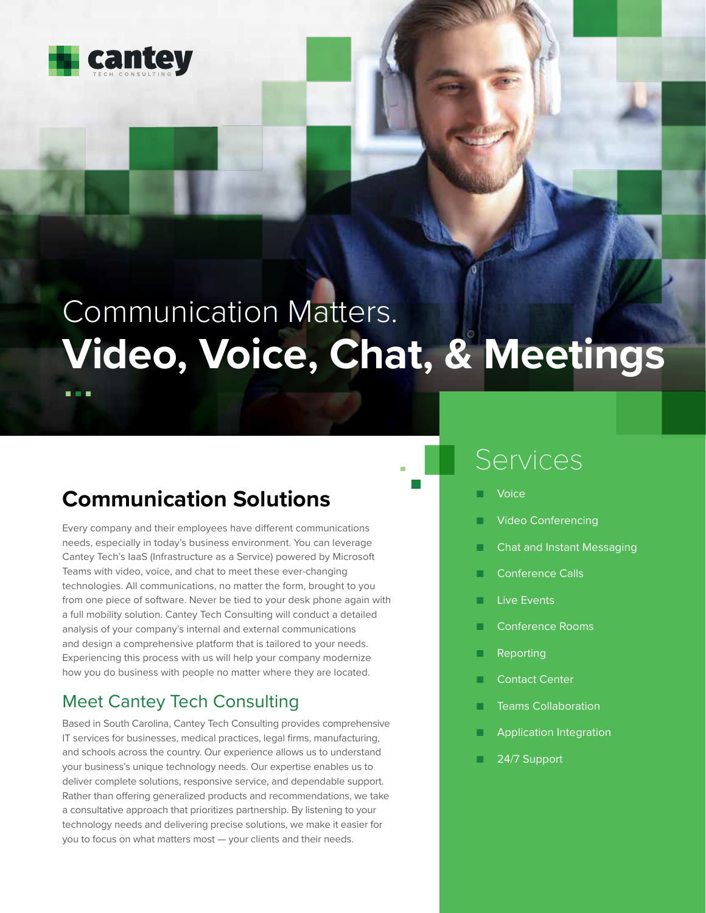

**A 6 H** 

# Communication Matters. **Video, Voice, Chat, & Meetings**

## **Communication Solutions**

Every company and their employees have different communications needs, especially in today's business environment. You can leverage Cantey Tech's IaaS (Infrastructure as a Service) powered by Microsoft Teams with video, voice, and chat to meet these ever-changing technologies. All communications, no matter the form, brought to you from one piece of software. Never be tied to your desk phone again with a full mobility solution. Cantey Tech Consulting will conduct a detailed analysis of your company's internal and external communications and design a comprehensive platform that is tailored to your needs. Experiencing this process with us will help your company modernize how you do business with people no matter where they are located.

## Meet Cantey Tech Consulting

Based in South Carolina, Cantey Tech Consulting provides comprehensive IT services for businesses, medical practices, legal firms, manufacturing, and schools across the country. Our experience allows us to understand your business's unique technology needs. Our expertise enables us to deliver complete solutions, responsive service, and dependable support. Rather than offering generalized products and recommendations, we take a consultative approach that prioritizes partnership. By listening to your technology needs and delivering precise solutions, we make it easier for you to focus on what matters most — your clients and their needs.

## Services

- **Voice**
- **Video Conferencing**
- Chat and Instant Messaging
- Conference Calls
- Live Events
- Conference Rooms
- Reporting
- Contact Center
- **Teams Collaboration**
- Application Integration
- 24/7 Support